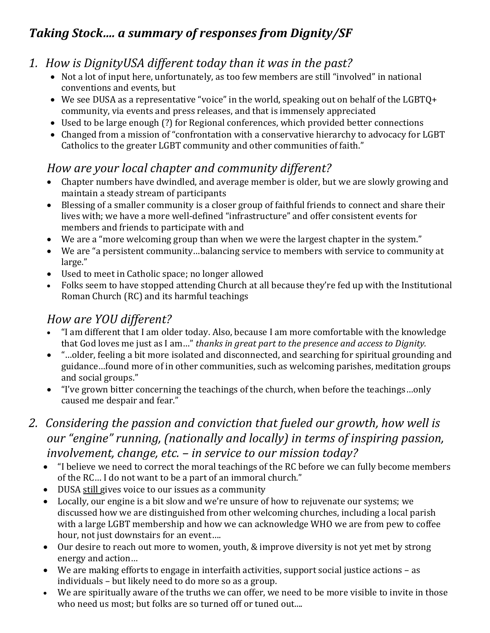# *Taking Stock…. a summary of responses from Dignity/SF*

## *1. How is DignityUSA different today than it was in the past?*

- Not a lot of input here, unfortunately, as too few members are still "involved" in national conventions and events, but
- We see DUSA as a representative "voice" in the world, speaking out on behalf of the LGBTQ+ community, via events and press releases, and that is immensely appreciated
- Used to be large enough (?) for Regional conferences, which provided better connections
- Changed from a mission of "confrontation with a conservative hierarchy to advocacy for LGBT Catholics to the greater LGBT community and other communities of faith."

## *How are your local chapter and community different?*

- Chapter numbers have dwindled, and average member is older, but we are slowly growing and maintain a steady stream of participants
- Blessing of a smaller community is a closer group of faithful friends to connect and share their lives with; we have a more well-defined "infrastructure" and offer consistent events for members and friends to participate with and
- We are a "more welcoming group than when we were the largest chapter in the system."
- We are "a persistent community…balancing service to members with service to community at large."
- Used to meet in Catholic space; no longer allowed
- Folks seem to have stopped attending Church at all because they're fed up with the Institutional Roman Church (RC) and its harmful teachings

## *How are YOU different?*

- "I am different that I am older today. Also, because I am more comfortable with the knowledge that God loves me just as I am…" *thanks in great part to the presence and access to Dignity.*
- "…older, feeling a bit more isolated and disconnected, and searching for spiritual grounding and guidance…found more of in other communities, such as welcoming parishes, meditation groups and social groups."
- "I've grown bitter concerning the teachings of the church, when before the teachings…only caused me despair and fear."
- *2. Considering the passion and conviction that fueled our growth, how well is our "engine" running, (nationally and locally) in terms of inspiring passion, involvement, change, etc. – in service to our mission today?*
	- "I believe we need to correct the moral teachings of the RC before we can fully become members of the RC… I do not want to be a part of an immoral church."
	- DUSA still gives voice to our issues as a community
	- Locally, our engine is a bit slow and we're unsure of how to rejuvenate our systems; we discussed how we are distinguished from other welcoming churches, including a local parish with a large LGBT membership and how we can acknowledge WHO we are from pew to coffee hour, not just downstairs for an event….
	- Our desire to reach out more to women, youth, & improve diversity is not yet met by strong energy and action…
	- We are making efforts to engage in interfaith activities, support social justice actions as individuals – but likely need to do more so as a group.
	- We are spiritually aware of the truths we can offer, we need to be more visible to invite in those who need us most: but folks are so turned off or tuned out....